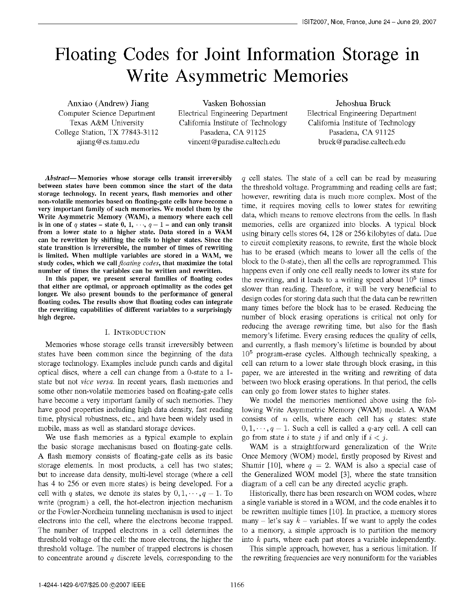# Floating Codes for Joint Information Storage in Write Asymmetric Memories

Anxiao (Andrew) Jiang

Computer Science Department Texas A&M University College Station, TX 77843-3112 ajiang @cs.tamu.edu

Vasken Bohossian

Electrical Engineering Department California Institute of Technology Pasadena, CA 91125 vincent@paradise.caltech.edu

Jehoshua Bruck

Electrical Engineering Department California Institute of Technology Pasadena, CA 91125 bruck@paradise.caltech.edu

Abstract-- Memories whose storage cells transit irreversibly between states have been common since the start of the data storage technology. In recent years, flash memories and other non-volatile memories based on floating-gate cells have become a very important family of such memories. We model them by the Write Asymmetric Memory (WAM), a memory where each cell is in one of q states – state 0, 1,  $\cdots$ ,  $q-1$  – and can only transit from <sup>a</sup> lower state to <sup>a</sup> higher state. Data stored in <sup>a</sup> WAM can be rewritten by shifting the cells to higher states. Since the state transition is irreversible, the number of times of rewriting is limited. When multiple variables are stored in <sup>a</sup> WAM, we study codes, which we call *floating codes*, that maximize the total number of times the variables can be written and rewritten.

In this paper, we present several families of floating codes that either are optimal, or approach optimality as the codes get longer. We also present bounds to the performance of general floating codes. The results show that floating codes can integrate the rewriting capabilities of different variables to a surprisingly high degree.

# I. INTRODUCTION

Memories whose storage cells transit irreversibly between states have been common since the beginning of the data storage technology. Examples include punch cards and digital optical discs, where a cell can change from a 0-state to a 1 state but not vice versa. In recent years, flash memories and some other non-volatile memories based on floating-gate cells have become a very important family of such memories. They have good properties including high data density, fast reading time, physical robustness, etc., and have been widely used in mobile, mass as well as standard storage devices.

We use flash memories as <sup>a</sup> typical example to explain the basic storage mechanisms based on floating-gate cells. A flash memory consists of floating-gate cells as its basic storage elements. In most products, a cell has two states; but to increase data density, multi-level storage (where a cell has 4 to 256 or even more states) is being developed. For a cell with q states, we denote its states by  $0, 1, \dots, q - 1$ . To write (program) a cell, the hot-electron injection mechanism or the Fowler-Nordheim tunneling mechanism is used to inject electrons into the cell, where the electrons become trapped. The number of trapped electrons in a cell determines the threshold voltage of the cell: the more electrons, the higher the threshold voltage. The number of trapped electrons is chosen to concentrate around  $q$  discrete levels, corresponding to the

 $q$  cell states. The state of a cell can be read by measuring the threshold voltage. Programming and reading cells are fast; however, rewriting data is much more complex. Most of the time, it requires moving cells to lower states for rewriting data, which means to remove electrons from the cells. In flash memories, cells are organized into blocks. A typical block using binary cells stores 64, 128 or 256 kilobytes of data. Due to circuit complexity reasons, to rewrite, first the whole block has to be erased (which means to lower all the cells of the block to the 0-state), then all the cells are reprogrammed. This happens even if only one cell really needs to lower its state for the rewriting, and it leads to a writing speed about  $10<sup>5</sup>$  times slower than reading. Therefore, it will be very beneficial to design codes for storing data such that the data can be rewritten many times before the block has to be erased. Reducing the number of block erasing operations is critical not only for reducing the average rewriting time, but also for the flash memory's lifetime. Every erasing reduces the quality of cells, and currently, a flash memory's lifetime is bounded by about  $10<sup>5</sup>$  program-erase cycles. Although technically speaking, a cell can return to a lower state through block erasing, in this paper, we are interested in the writing and rewriting of data between two block erasing operations. In that period, the cells can only go from lower states to higher states.

We model the memories mentioned above using the following Write Asymmetric Memory (WAM) model. A WAM consists of  $n$  cells, where each cell has  $q$  states: state  $0,1,\dots, q-1$ . Such a cell is called a q-ary cell. A cell can go from state i to state j if and only if  $i < j$ .

WAM is <sup>a</sup> straightforward generalization of the Write Once Memory (WOM) model, firstly proposed by Rivest and Shamir [10], where  $q = 2$ . WAM is also a special case of the Generalized WOM model [3], where the state transition diagram of a cell can be any directed acyclic graph.

Historically, there has been research on WOM codes, where <sup>a</sup> single variable is stored in <sup>a</sup> WOM, and the code enables it to be rewritten multiple times [10]. In practice, a memory stores many – let's say  $k$  – variables. If we want to apply the codes to a memory, a simple approach is to partition the memory into k parts, where each part stores a variable independently.

This simple approach, however, has a serious limitation. If the rewriting frequencies are very nonuniform for the variables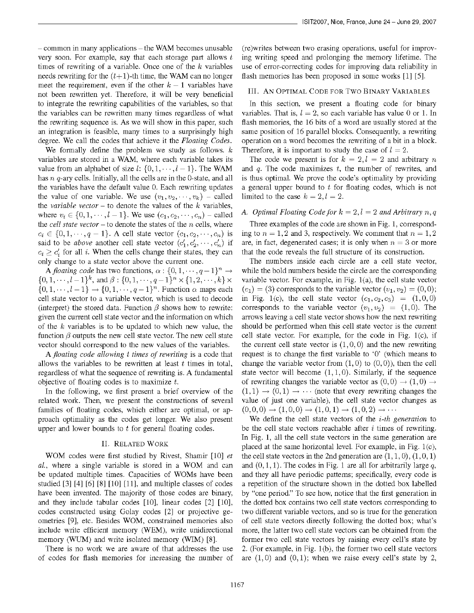- common in many applications – the WAM becomes unusable very soon. For example, say that each storage part allows  $t$ times of rewriting of a variable. Once one of the  $k$  variables needs rewriting for the  $(t+1)$ -th time, the WAM can no longer meet the requirement, even if the other  $k - 1$  variables have not been rewritten yet. Therefore, it will be very beneficial to integrate the rewriting capabilities of the variables, so that the variables can be rewritten many times regardless of what the rewriting sequence is. As we will show in this paper, such an integration is feasible, many times to a surprisingly high degree. We call the codes that achieve it the Floating Codes.

We formally define the problem we study as follows.  $k$ variables are stored in <sup>a</sup> WAM, where each variable takes its value from an alphabet of size  $l: \{0, 1, \dots, l-1\}$ . The WAM has  $n \, q$ -ary cells. Initially, all the cells are in the 0-state, and all the variables have the default value 0. Each rewriting updates the value of one variable. We use  $(v_1, v_2, \dots, v_k)$  – called the variable vector  $-$  to denote the values of the k variables, where  $v_i \in \{0, 1, \dots, l-1\}$ . We use  $(c_1, c_2, \dots, c_n)$  – called the *cell state vector* – to denote the states of the *n* cells, where  $c_i \in \{0,1,\dots,q-1\}$ . A cell state vector  $(c_1,c_2,\dots,c_n)$  is said to be *above* another cell state vector  $(c'_1, c'_2, \dots, c'_n)$  if  $c_i \geq c'_i$  for all i. When the cells change their states, they can only change to a state vector above the current one.

A floating code has two functions,  $\alpha : \{0, 1, \dots, q-1\}^n \rightarrow$  $\{0, 1, \dots, l-1\}^k$ , and  $\beta: \{0, 1, \dots, q-1\}^n \times \{1, 2, \dots, k\}$  $\{0, 1, \dots, l-1\} \rightarrow \{0, 1, \dots, q-1\}^n$ . Function  $\alpha$  maps each cell state vector to a variable vector, which is used to decode (interpret) the stored data. Function  $\beta$  shows how to rewrite: given the current cell state vector and the information on which of the  $k$  variables is to be updated to which new value, the function  $\beta$  outputs the new cell state vector. The new cell state vector should correspond to the new values of the variables.

Afloating code allowing <sup>t</sup> times of rewriting is a code that allows the variables to be rewritten at least  $t$  times in total, regardless of what the sequence of rewriting is. A fundamental objective of floating codes is to maximize  $t$ .

In the following, we first present a brief overview of the related work. Then, we present the constructions of several families of floating codes, which either are optimal, or approach optimality as the codes get longer. We also present upper and lower bounds to  $t$  for general floating codes.

## II. RELATED WORK

WOM codes were first studied by Rivest, Shamir [10] et al., where <sup>a</sup> single variable is stored in <sup>a</sup> WOM and can be updated multiple times. Capacities of WOMs have been studied [3] [4] [6] [8] [10] [11], and multiple classes of codes have been invented. The majority of those codes are binary, and they include tabular codes [10], linear codes [2] [10], codes constructed using Golay codes [2] or projective geometries [9], etc. Besides WOM, constrained memories also include write efficient memory (WEM), write unidirectional memory (WUM) and write isolated memory (WIM) [8].

There is no work we are aware of that addresses the use of codes for flash memories for increasing the number of (re)writes between two erasing operations, useful for improving writing speed and prolonging the memory lifetime. The use of error-correcting codes for improving data reliability in flash memories has been proposed in some works [1] [5].

# III. AN OPTIMAL CODE FOR Two BINARY VARIABLES

In this section, we present a floating code for binary variables. That is,  $l = 2$ , so each variable has value 0 or 1. In flash memories, the 16 bits of a word are usually stored at the same position of 16 parallel blocks. Consequently, a rewriting operation on a word becomes the rewriting of a bit in a block. Therefore, it is important to study the case of  $l = 2$ .

The code we present is for  $k = 2, l = 2$  and arbitrary n and  $q$ . The code maximizes  $t$ , the number of rewrites, and is thus optimal. We prove the code's optimality by providing a general upper bound to  $t$  for floating codes, which is not limited to the case  $k = 2, l = 2$ .

# A. Optimal Floating Code for  $k = 2, l = 2$  and Arbitrary n, q

Three examples of the code are shown in Fig. 1, corresponding to  $n = 1, 2$  and 3, respectively. We comment that  $n = 1, 2$ are, in fact, degenerated cases; it is only when  $n = 3$  or more that the code reveals the full structure of its construction.

The numbers inside each circle are a cell state vector, while the bold numbers beside the circle are the corresponding variable vector. For example, in Fig. l(a), the cell state vector  $(c_1) = (3)$  corresponds to the variable vector  $(v_1, v_2) = (0, 0);$ in Fig. 1(c), the cell state vector  $(c_1, c_2, c_3) = (1, 0, 0)$ corresponds to the variable vector  $(v_1, v_2) = (1, 0)$ . The arrows leaving a cell state vector shows how the next rewriting should be performed when this cell state vector is the current cell state vector. For example, for the code in Fig.  $1(c)$ , if the current cell state vector is  $(1, 0, 0)$  and the new rewriting request is to change the first variable to '0' (which means to change the variable vector from  $(1, 0)$  to  $(0, 0)$ , then the cell state vector will become  $(1, 1, 0)$ . Similarly, if the sequence of rewriting changes the variable vector as  $(0, 0) \rightarrow (1, 0) \rightarrow$  $(1,1) \rightarrow (0,1) \rightarrow \cdots$  (note that every rewriting changes the value of just one variable), the cell state vector changes as  $(0, 0, 0) \rightarrow (1, 0, 0) \rightarrow (1, 0, 1) \rightarrow (1, 0, 2) \rightarrow \cdots$ 

We define the cell state vectors of the  $i$ -th generation to be the cell state vectors reachable after  $i$  times of rewriting. In Fig. 1, all the cell state vectors in the same generation are placed at the same horizontal level. For example, in Fig. l(c), the cell state vectors in the 2nd generation are  $(1, 1, 0), (1, 0, 1)$ and  $(0,1,1)$ . The codes in Fig. 1 are all for arbitrarily large q, and they all have periodic patterns; specifically, every code is a repetition of the structure shown in the dotted box labelled by "one period." To see how, notice that the first generation in the dotted box contains two cell state vectors corresponding to two different variable vectors, and so is true for the generation of cell state vectors directly following the dotted box; what's more, the latter two cell state vectors can be obtained from the former two cell state vectors by raising every cell's state by 2. (For example, in Fig. l(b), the former two cell state vectors are  $(1, 0)$  and  $(0, 1)$ ; when we raise every cell's state by 2,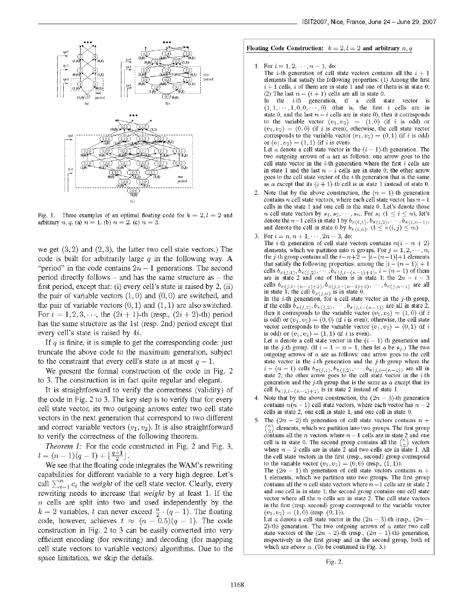

Fig. 1. Three examples of an optimal floating code for  $k = 2, l = 2$  and arbitrary n, q. (a)  $n = 1$ . (b)  $n = 2$ . (c)  $n = 3$ .

we get  $(3, 2)$  and  $(2, 3)$ , the latter two cell state vectors.) The code is built for arbitrarily large  $q$  in the following way. A "period" in the code contains  $2n - 1$  generations. The second period directly follows  $-$  and has the same structure as  $-$  the first period, except that: (i) every cell's state is raised by 2, (ii) the pair of variable vectors  $(1, 0)$  and  $(0, 0)$  are switched, and the pair of variable vectors  $(0,1)$  and  $(1,1)$  are also switched. For  $i = 1, 2, 3, \dots$ , the  $(2i + 1)$ -th (resp.,  $(2i + 2)$ -th) period has the same structure as the 1st (resp. 2nd) period except that every cell's state is raised by 4i.

If  $q$  is finite, it is simple to get the corresponding code: just truncate the above code to the maximum generation, subject to the constraint that every cell's state is at most  $q - 1$ .

We present the formal construction of the code in Fig. <sup>2</sup> to 3. The construction is in fact quite regular and elegant.

It is straightforward to verify the correctness (validity) of the code in Fig. 2 to 3. The key step is to verify that for every cell state vector, its two outgoing arrows enter two cell state vectors in the next generation that correspond to two different and correct variable vectors  $(v_1, v_2)$ . It is also straightforward to verify the correctness of the following theorem.

Theorem 1: For the code constructed in Fig. 2 and Fig. 3,  $t = (n-1)(q-1) + \frac{q-1}{2}$ .

We see that the floating code integrates the WAM's rewriting capabilities for different variable to a very high degree. Let's call  $\sum_{i=1}^{n} c_i$  the *weight* of the cell state vector. Clearly, every rewriting needs to increase that weight by at least 1. If the  $n$  cells are split into two and used independently by the  $k = 2$  variables, t can never exceed  $\frac{n}{2} \cdot (q - 1)$ . The floating code, however, achieves  $t \approx (n - 0.5)(q - 1)$ . The code construction in Fig. 2 to 3 can be easily converted into very efficient encoding (for rewriting) and decoding (for mapping cell state vectors to variable vectors) algorithms. Due to the space limitation, we skip the details.

#### Floating Code Construction:  $k = 2, l = 2$  and arbitrary n, q

- 1. For  $i = 1, 2, \dots, n-1$ , do:
	- The *i*-th generation of cell state vectors contains all the  $i + 1$ elements that satisfy the following properties: (1) Among the first  $i + 1$  cells, i of them are in state 1 and one of them is in state 0; (2) The last  $n - (i + 1)$  cells are all in state 0.

In the  $i$ -th generation, if a cell state vector is  $(1, 1, \dots, 1, 0, 0, \dots, 0)$  (that is, the first i cells are in state 0, and the last  $n-i$  cells are in state 0), then it corresponds to the variable vector  $(v_1, v_2) = (1, 0)$  (if i is odd) or  $(v_1, v_2) = (0, 0)$  (if i is even); otherwise, the cell state vector corresponds to the variable vector  $(v_1, v_2) = (0, 1)$  (if i is odd) or  $(v_1, v_2) = (1, 1)$  (if *i* is even).

Let a denote a cell state vector in the  $(i - 1)$ -th generation. The two outgoing arrows of a are as follows: one arrow goes to the cell state vector in the  $i$ -th generation where the first  $i$  cells are in state 1 and the last  $n-i$  cells are in state 0; the other arrow goes to the cell state vector of the  $i$ -th generation that is the same as a except that its  $(i + 1)$ -th cell is in state 1 instead of state 0.

- 2. Note that by the above construction, the  $(n-1)$ -th generation contains n cell state vectors, where each cell state vector has  $n-1$ cells in the state <sup>1</sup> and one cell in the state 0. Let's denote those *n* cell state vectors by  $s_1, s_2, \dots, s_n$ . For  $s_i$   $(1 \le i \le n)$ , let's denote the  $n-1$  cells in state 1 by  $b_{\pi(i,1)}, b_{\pi(i,2)}, \dots, b_{\pi(i,n-1)}$ , and denote the cell in state 0 by  $b_{\pi(i,n)}$ .  $(1 \leq \pi(i,j) \leq n)$ .
- 3. For  $i = n, n + 1, \dots, 2n 3$ , do:

The *i*-th generation of cell state vectors contains  $n(i - n + 2)$ elements, which we partition into *n* groups. For  $j = 1, 2, \dots, n$ , the j-th group contains all the  $i-n+2 = [i-(n-1)]+1$  elements that satisfy the following properties: among the  $[i - (n - 1)] + 1$ cells  $b_{\pi(i,1)}, b_{\pi(i,2)}, \cdots, b_{\pi(i,i-(n-1)+1)}, i - (n-1)$  of them are in state 2 and one of them is in state 1; the  $2n-i-3$ cells  $b_{\pi(j,i-(n-1)+2)}, b_{\pi(j,i-(n-1)+3)}, \cdots, b_{\pi(j,n-1)}$  are all in state 1; the cell  $b_{\pi(j,n)}$  is in state 0.<br>In the *i*-th generation, for a cell state vector in the *j*-th group,

if the cells  $b_{\pi(j,1)}, b_{\pi(j,2)}, \cdots, b_{\pi(j,i-(n-1))}$  are all in state 2, then it corresponds to the variable vector  $(v_1, v_2) = (1, 0)$  (if i. is odd) or  $(v_1, v_2) = (0, 0)$  (if i is even); otherwise, the cell state vector corresponds to the variable vector  $(v_1, v_2) = (0, 1)$  (if i is odd) or  $(v_1, v_2) = (1, 1)$  (if *i* is even).

Let a denote a cell state vector in the  $(i - 1)$ -th generation and in the j-th group. (If  $i-1 = n-1$ , then let a be  $s_i$ .) The two outgoing arrows of a are as follows: one arrow goes to the cell state vector in the *i*-th generation and the  $j$ -th group where the  $i-(n-1)$  cells  $b_{\pi(j,1)}, b_{\pi(j,2)}, \cdots, b_{\pi(j,i-(n-1))}$  are all in state 2; the other arrow goes to the cell state vector in the  $i$ -th generation and the  $j$ -th group that is the same as  $a$  except that its cell  $b_{\pi(j,i-(n-1)+1)}$  is in state 2 instead of state 1.

- 4. Note that by the above construction, the  $(2n 3)$ -th generation contains  $n(n-1)$  cell state vectors, where each vector has  $n-2$ cells in state 2, one cell in state 1, and one cell in state 0.
- 5. The  $(2n 2)$ -th generation of cell state vectors contains  $n +$  $\binom{n}{0}$  elements, which we partition into two groups. The first group contains all the *n* vectors where  $n-1$  cells are in state 2 and one cell is in state 0. The second group contains all the  $\binom{n}{2}$  vectors where  $n-2$  cells are in state 2 and two cells are in state 1. All the cell state vectors in the first (resp., second) group correspond to the variable vector  $(v_1, v_2) = (0, 0)$  (resp.,  $(1, 1)$ ).

The  $(2n-1)$ -th generation of cell state vectors contains  $n +$ <sup>1</sup> elements, which we partition into two groups. The first group contains all the n cell state vectors where  $n-1$  cells are in state 2 and one cell is in state 1; the second group contains one cell state vector where all the  $n$  cells are in state 2. The cell state vectors in the first (resp. second) group correspond to the variable vector  $(v_1, v_2) = (1, 0)$  (resp.  $(0, 1)$ ).

Let a denote a cell state vector in the  $(2n-3)$ -th (resp.,  $(2n-$ 2)-th) generation. The two outgoing arrows of  $\alpha$  enter two cell state vectors of the  $(2n - 2)$ -th (resp.,  $(2n - 1)$ -th) generation, respectively in the first group and in the second group, both of which are *above* a. (To be continued in Fig. 3.)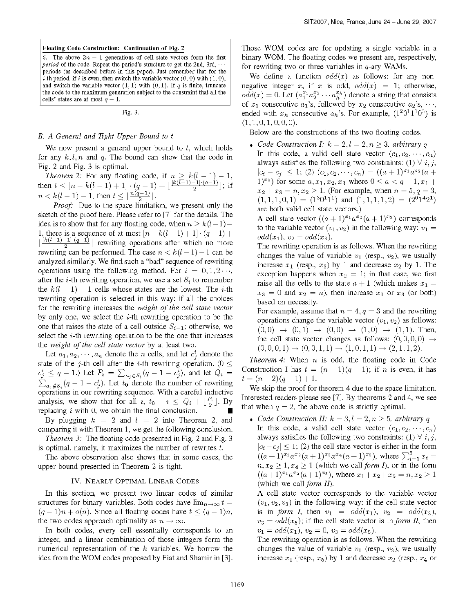#### Floating Code Construction: Continuation of Fig. 2

6. The above  $2n-1$  generations of cell state vectors form the first period of the code. Repeat the period's structure to get the 2nd, 3rd,  $\cdot$ periods (as described before in this paper). Just remember that for the *i*-th period, if *i* is even, then switch the variable vector  $(0, 0)$  with  $(1, 0)$ , and switch the variable vector  $(1, 1)$  with  $(0, 1)$ . If q is finite, truncate the code to the maximum generation subject to the constraint that all the cells' states are at most  $q - 1$ .

Fig. 3.

## B. A General and Tight Upper Bound to <sup>t</sup>

We now present a general upper bound to  $t$ , which holds for any  $k, l, n$  and q. The bound can show that the code in Fig. 2 and Fig. 3 is optimal.

*Theorem 2:* For any floating code, if  $n \geq k(l-1) - 1$ , then  $t \leq [n-k(l-1)+1] \cdot (q-1) + \lfloor \frac{k(l-1)-1 \cdot (q-1)}{2} \rfloor$ ; if  $n < k(l-1)-1$ , then  $t \leq \lfloor \frac{n(q-1)}{2} \rfloor$ .

Proof: Due to the space limitation, we present only the sketch of the proof here. Please refer to [7] for the details. The idea is to show that for any floating code, when  $n > k(l-1)$ -1, there is a sequence of at most  $[n - k(l - 1) + 1] \cdot (q - 1) +$  $\lfloor \frac{(k(1)-1)(q-1)}{2} \rfloor$  rewriting operations after which no more rewriting can be performed. The case  $n < k(l-1)-1$  can be analyzed similarly. We find such <sup>a</sup> "bad" sequence of rewriting operations using the following method. For  $i = 0, 1, 2, \dots$ , after the *i*-th rewriting operation, we use a set  $S_i$  to remember the  $k(l - 1) - 1$  cells whose states are the lowest. The *i*-th rewriting operation is selected in this way: if all the choices for the rewriting increases the weight of the cell state vector by only one, we select the  $i$ -th rewriting operation to be the one that raises the state of a cell outside  $S_{i-1}$ ; otherwise, we select the  $i$ -th rewriting operation to be the one that increases the weight of the cell state vector by at least two.

Let  $a_1, a_2, \dots, a_n$  denote the n cells, and let  $c_i^i$  denote the state of the j-th cell after the i-th rewriting operation. ( $0 \le$  $c_j^i \leq q-1$ .) Let  $P_i = \sum_{a_j \in S_i} (q-1-c_j^i)$ , and let  $Q_i =$  $\sum_{a_i \notin S_i} (q - 1 - c_i^i)$ . Let  $t_0$  denote the number of rewriting operations in our rewriting sequence. With a careful inductive analysis, we show that for all i,  $t_0 - i \leq Q_i + \left|\frac{P_i}{2}\right|$ . By replacing <sup>i</sup> with 0, we obtain the final conclusion.

By plugging  $k = 2$  and  $l = 2$  into Theorem 2, and comparing it with Theorem 1, we get the following conclusion. Theorem 3: The floating code presented in Fig. 2 and Fig. 3

is optimal, namely, it maximizes the number of rewrites t.

The above observation also shows that in some cases, the upper bound presented in Theorem 2 is tight.

## IV. NEARLY OPTIMAL LINEAR CODES

In this section, we present two linear codes of similar structures for binary variables. Both codes have  $\lim_{n\to\infty}t =$  $(q-1)n + o(n)$ . Since all floating codes have  $t < (q-1)n$ , the two codes approach optimality as  $n \to \infty$ .

In both codes, every cell essentially corresponds to an integer, and a linear combination of those integers form the numerical representation of the  $k$  variables. We borrow the idea from the WOM codes proposed by Fiat and Shamir in [3].

Those WOM codes are for updating <sup>a</sup> single variable in <sup>a</sup> binary WOM. The floating codes we present are, respectively, for rewriting two or three variables in  $q$ -ary WAMs.

We define a function  $odd(x)$  as follows: for any nonnegative integer x, if x is odd,  $odd(x) = 1$ ; otherwise,  $odd(x) = 0$ . Let  $(a_1^{x_1}a_2^{x_2} \cdots a_h^{x_h})$  denote a string that consists of  $x_1$  consecutive  $a_1$ 's, followed by  $x_2$  consecutive  $a_2$ 's,  $\cdots$ , ended with  $x_h$  consecutive  $a_h$ 's. For example,  $(1^20^11^10^3)$  is  $(1, 1, 0, 1, 0, 0, 0)$ .

Below are the constructions of the two floating codes.

• Code Construction I:  $k = 2, l = 2, n > 3$ , arbitrary q In this code, a valid cell state vector  $(c_1, c_2, \dots, c_n)$ always satisfies the following two constraints: (1)  $\forall i, j$ ,  $|c_i - c_j| \leq 1$ ; (2)  $(c_1, c_2, \dots, c_n) = ((a+1)^{x_1} a^{x_2} (a+1))$  $(1)^{x_3}$ ) for some  $a, x_1, x_2, x_3$  where  $0 \le a < q-1, x_1 +$  $x_2 + x_3 = n, x_2 \geq 1$ . (For example, when  $n = 5, q = 3$ ,  $(1, 1, 1, 0, 1) = (1<sup>3</sup>0<sup>1</sup>1<sup>1</sup>)$  and  $(1, 1, 1, 1, 2) = (2<sup>0</sup>1<sup>4</sup>2<sup>1</sup>)$ are both valid cell state vectors.)

A cell state vector  $((a+1)^{x_1}a^{x_2}(a+1)^{x_3})$  corresponds to the variable vector  $(v_1, v_2)$  in the following way:  $v_1 =$  $odd(x_1), v_2 = odd(x_3).$ 

The rewriting operation is as follows. When the rewriting changes the value of variable  $v_1$  (resp.,  $v_2$ ), we usually increase  $x_1$  (resp.,  $x_3$ ) by 1 and decrease  $x_2$  by 1. The exception happens when  $x_2 = 1$ ; in that case, we first raise all the cells to the state  $a + 1$  (which makes  $x_1 =$  $x_3 = 0$  and  $x_2 = n$ ), then increase  $x_1$  or  $x_3$  (or both) based on necessity.

For example, assume that  $n = 4$ ,  $q = 3$  and the rewriting operations change the variable vector  $(v_1, v_2)$  as follows:  $(0,0) \rightarrow (0,1) \rightarrow (0,0) \rightarrow (1,0) \rightarrow (1,1)$ . Then, the cell state vector changes as follows:  $(0, 0, 0, 0) \rightarrow$  $(0, 0, 0, 1) \rightarrow (0, 0, 1, 1) \rightarrow (1, 0, 1, 1) \rightarrow (2, 1, 1, 2).$ 

Theorem 4: When  $n$  is odd, the floating code in Code Construction I has  $t = (n - 1)(q - 1)$ ; if n is even, it has  $t = (n-2)(q-1) + 1.$ 

We skip the proof for theorem 4 due to the space limitation. Interested readers please see [7]. By theorems 2 and 4, we see that when  $q = 2$ , the above code is strictly optimal.

• Code Construction II:  $k = 3, l = 2, n > 5$ , arbitrary q In this code, a valid cell state vector  $(c_1, c_2, \dots, c_n)$ always satisfies the following two constraints: (1)  $\forall i, j$ ,  $|c_i - c_j| \leq 1$ ; (2) the cell state vector is either in the form  $((a+1)^{x_1}a^{x_2}(a+1)^{x_3}a^{x_4}(a+1)^{x_5})$ , where  $\sum_{i=1}^5 x_i =$  $n, x_2 \geq 1, x_4 \geq 1$  (which we call form I), or in the form  $((a+1)^{x_1}a^{x_2}(a+1)^{x_5})$ , where  $x_1+x_2+x_5=n, x_2\geq 1$ (which we call *form II)*.

A cell state vector corresponds to the variable vector  $(v_1, v_2, v_3)$  in the following way: if the cell state vector is in form I, then  $v_1 = odd(x_1)$ ,  $v_2 = odd(x_3)$ ,  $v_3 = odd(x_5)$ ; if the cell state vector is in form II, then  $v_1 = odd(x_1), v_2 = 0, v_3 = odd(x_5).$ 

The rewriting operation is as follows. When the rewriting changes the value of variable  $v_1$  (resp.,  $v_3$ ), we usually increase  $x_1$  (resp.,  $x_5$ ) by 1 and decrease  $x_2$  (resp.,  $x_4$  or